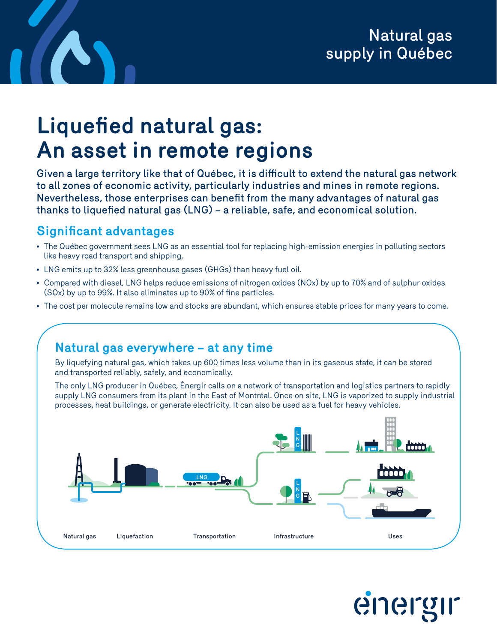## Natural gas supply in Québec

# **Liquefied natural gas: An asset in remote regions**

Given a large territory like that of Québec, it is difficult to extend the natural gas network to all zones of economic activity, particularly industries and mines in remote regions. Nevertheless, those enterprises can benefit from the many advantages of natural gas thanks to liquefied natural gas (LNG) – a reliable, safe, and economical solution.

#### **Significant advantages**

- The Québec government sees LNG as an essential tool for replacing high-emission energies in polluting sectors like heavy road transport and shipping.
- LNG emits up to 32% less greenhouse gases (GHGs) than heavy fuel oil.
- Compared with diesel, LNG helps reduce emissions of nitrogen oxides (NOx) by up to 70% and of sulphur oxides (SOx) by up to 99%. It also eliminates up to 90% of fine particles.
- The cost per molecule remains low and stocks are abundant, which ensures stable prices for many years to come.

### **Natural gas everywhere – at any time** By liquefying natural gas, which takes up 600 times less volume than in its gaseous state, it can be stored and transported reliably, safely, and economically. The only LNG producer in Québec, Énergir calls on a network of transportation and logistics partners to rapidly supply LNG consumers from its plant in the East of Montréal. Once on site, LNG is vaporized to supply industrial processes, heat buildings, or generate electricity. It can also be used as a fuel for heavy vehicles. Liquefaction Transportation Natural gas Infrastructure Uses LNG L N G L N G